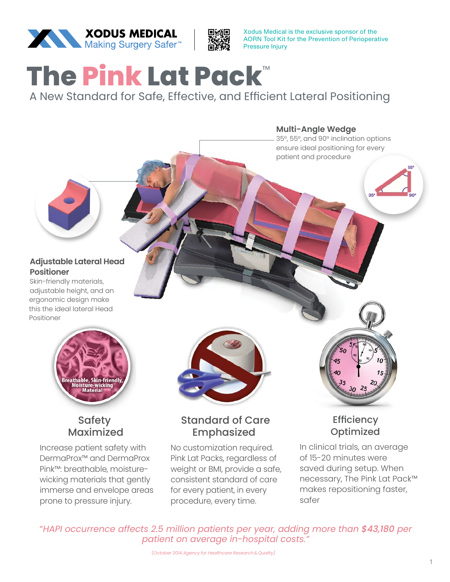

Xodus Medical is the exclusive sponsor of the AORN Tool Kit for the Prevention of Perioperative Pressure Injury

## **The Pink Lat Pack**™

A New Standard for Safe, Effective, and Efficient Lateral Positioning

**Multi-Angle Wedge**

35°, 55°, and 90° inclination options ensure ideal positioning for every patient and procedure

#### **Adjustable Lateral Head Positioner**

Skin-friendly materials, adjustable height, and an ergonomic design make this the ideal lateral Head Positioner



#### **Safety Maximized**

Increase patient safety with DermaProx™ and DermaProx Pink™: breathable, moisturewicking materials that gently immerse and envelope areas prone to pressure injury.



#### Standard of Care . **Emphasized**

No customization required. Pink Lat Packs, regardless of weight or BMI, provide a safe, consistent standard of care for every patient, in every procedure, every time.

# **Efficiency**

**Optimized** In clinical trials, an average of 15-20 minutes were saved during setup. When necessary, The Pink Lat Pack™ makes repositioning faster,

safer

*"HAPI occurrence affects 2.5 million patients per year, adding more than \$43,180 per patient on average in-hospital costs."*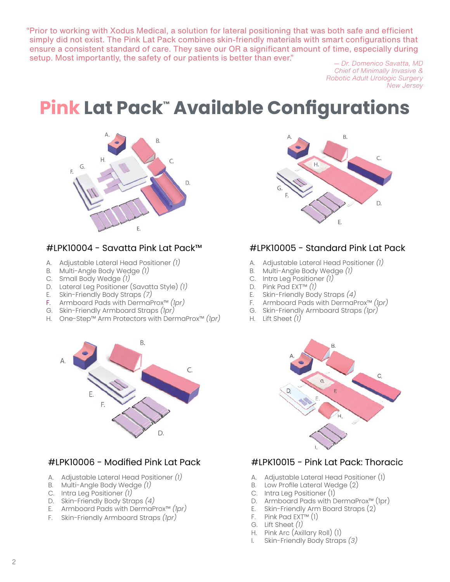"Prior to working with Xodus Medical, a solution for lateral positioning that was both safe and efficient simply did not exist. The Pink Lat Pack combines skin-friendly materials with smart configurations that ensure a consistent standard of care. They save our OR a significant amount of time, especially during setup. Most importantly, the safety of our patients is better than ever." *— Dr. Domenico Savatta, MD*

*Chief of Minimally Invasive & Robotic Adult Urologic Surgery New Jersey*

### **Pink Lat Pack™ Available Configurations**



#### #LPK10004 - Savatta Pink Lat Pack™

- A. Adjustable Lateral Head Positioner *(1)*
- B. Multi-Angle Body Wedge *(1)*
- C. Small Body Wedge *(1)*
- D. Lateral Leg Positioner (Savatta Style) *(1)*
- E. Skin-Friendly Body Straps *(7)*
- F. Armboard Pads with DermaProx™ *(1pr)*
- G. Skin-Friendly Armboard Straps *(1pr)*
- H. One-Step™ Arm Protectors with DermaProx™ *(1pr)*



#### #LPK10006 - Modified Pink Lat Pack

- A. Adjustable Lateral Head Positioner *(1)*
- B. Multi-Angle Body Wedge *(1)*
- C. Intra Leg Positioner *(1)*
- D. Skin-Friendly Body Straps *(4)*
- E. Armboard Pads with DermaProx™ *(1pr)*
- F. Skin-Friendly Armboard Straps *(1pr)*



#### #LPK10005 - Standard Pink Lat Pack

- A. Adjustable Lateral Head Positioner *(1)*
- B. Multi-Angle Body Wedge *(1)*
- C. Intra Leg Positioner *(1)*
- D. Pink Pad EXT™ *(1)*
- E. Skin-Friendly Body Straps *(4)*
- F. Armboard Pads with DermaProx™ *(1pr)*
- G. Skin-Friendly Armboard Straps *(1pr)*
- H. Lift Sheet *(1)*



#### #LPK10015 - Pink Lat Pack: Thoracic

- A. Adjustable Lateral Head Positioner (1)
- B. Low Profile Lateral Wedge (2)
- C. Intra Leg Positioner (1)
- D. Armboard Pads with DermaProx™ (1pr)
- E. Skin-Friendly Arm Board Straps (2)
- F. Pink Pad  $EXT^m(1)$
- G. Lift Sheet *(1)*
- H. Pink Arc (Axillary Roll) (1)
- I. Skin-Friendly Body Straps *(3)*